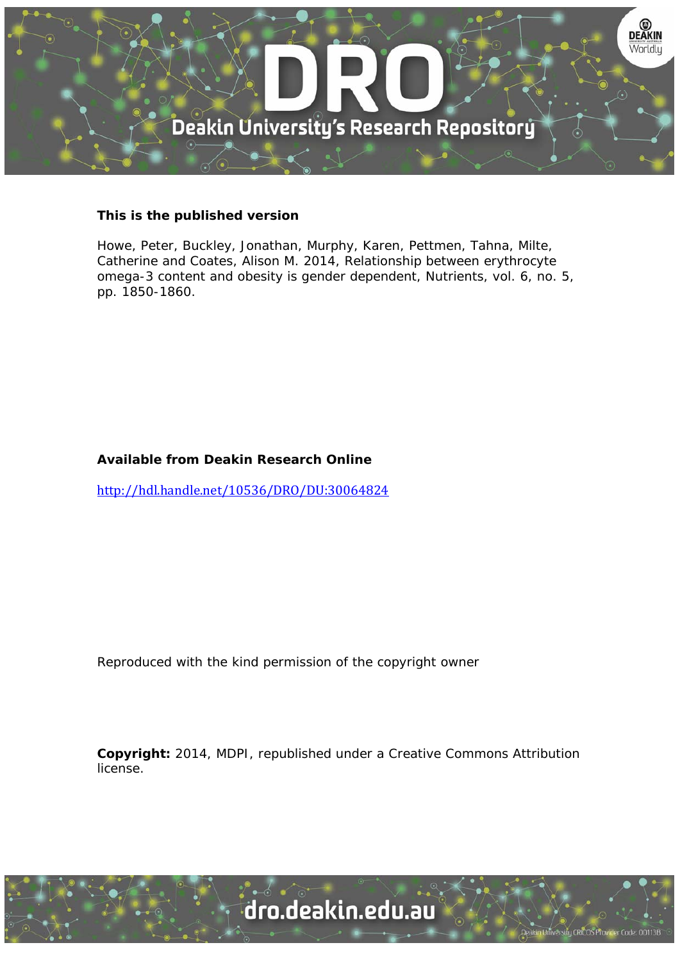

#### **This is the published version**

Howe, Peter, Buckley, Jonathan, Murphy, Karen, Pettmen, Tahna, Milte, Catherine and Coates, Alison M. 2014, Relationship between erythrocyte omega-3 content and obesity is gender dependent, Nutrients, vol. 6, no. 5, pp. 1850-1860.

# **Available from Deakin Research Online**

http://hdl.handle.net/10536/DRO/DU:30064824

Reproduced with the kind permission of the copyright owner

**Copyright:** 2014, MDPI, republished under a Creative Commons Attribution license.

University CRICOS Provider Code: 00113B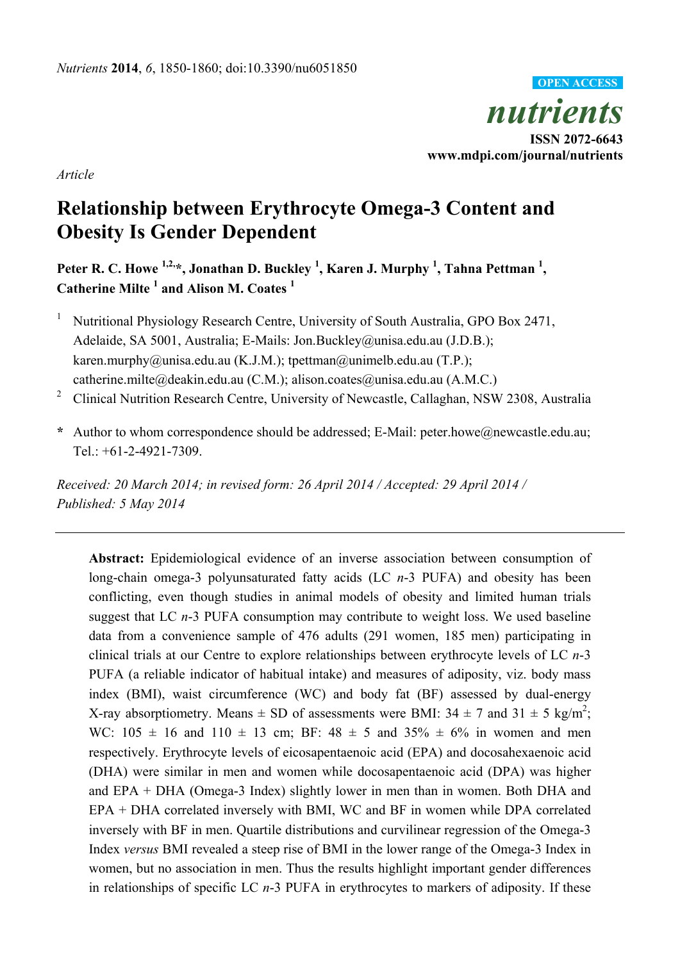

*Article* 

# **Relationship between Erythrocyte Omega-3 Content and Obesity Is Gender Dependent**

Peter R. C. Howe <sup>1,2,</sup>\*, Jonathan D. Buckley <sup>1</sup>, Karen J. Murphy <sup>1</sup>, Tahna Pettman <sup>1</sup>, **Catherine Milte 1 and Alison M. Coates <sup>1</sup>**

- 1 Nutritional Physiology Research Centre, University of South Australia, GPO Box 2471, Adelaide, SA 5001, Australia; E-Mails: Jon.Buckley@unisa.edu.au (J.D.B.); karen.murphy@unisa.edu.au (K.J.M.); tpettman@unimelb.edu.au (T.P.); catherine.milte@deakin.edu.au (C.M.); alison.coates@unisa.edu.au (A.M.C.)
- 2 Clinical Nutrition Research Centre, University of Newcastle, Callaghan, NSW 2308, Australia
- **\*** Author to whom correspondence should be addressed; E-Mail: peter.howe@newcastle.edu.au; Tel.: +61-2-4921-7309.

*Received: 20 March 2014; in revised form: 26 April 2014 / Accepted: 29 April 2014 / Published: 5 May 2014* 

**Abstract:** Epidemiological evidence of an inverse association between consumption of long-chain omega-3 polyunsaturated fatty acids (LC *n*-3 PUFA) and obesity has been conflicting, even though studies in animal models of obesity and limited human trials suggest that LC *n*-3 PUFA consumption may contribute to weight loss. We used baseline data from a convenience sample of 476 adults (291 women, 185 men) participating in clinical trials at our Centre to explore relationships between erythrocyte levels of LC *n*-3 PUFA (a reliable indicator of habitual intake) and measures of adiposity, viz. body mass index (BMI), waist circumference (WC) and body fat (BF) assessed by dual-energy X-ray absorptiometry. Means  $\pm$  SD of assessments were BMI: 34  $\pm$  7 and 31  $\pm$  5 kg/m<sup>2</sup>; WC:  $105 \pm 16$  and  $110 \pm 13$  cm; BF:  $48 \pm 5$  and  $35\% \pm 6\%$  in women and men respectively. Erythrocyte levels of eicosapentaenoic acid (EPA) and docosahexaenoic acid (DHA) were similar in men and women while docosapentaenoic acid (DPA) was higher and EPA + DHA (Omega-3 Index) slightly lower in men than in women. Both DHA and EPA + DHA correlated inversely with BMI, WC and BF in women while DPA correlated inversely with BF in men. Quartile distributions and curvilinear regression of the Omega-3 Index *versus* BMI revealed a steep rise of BMI in the lower range of the Omega-3 Index in women, but no association in men. Thus the results highlight important gender differences in relationships of specific LC *n*-3 PUFA in erythrocytes to markers of adiposity. If these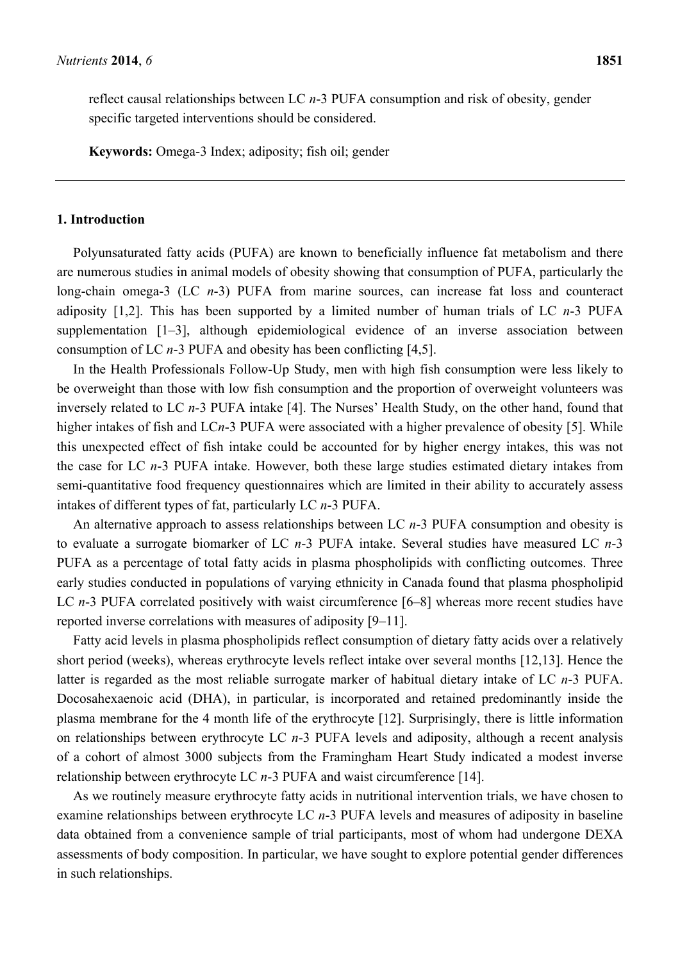reflect causal relationships between LC *n*-3 PUFA consumption and risk of obesity, gender specific targeted interventions should be considered.

**Keywords:** Omega-3 Index; adiposity; fish oil; gender

#### **1. Introduction**

Polyunsaturated fatty acids (PUFA) are known to beneficially influence fat metabolism and there are numerous studies in animal models of obesity showing that consumption of PUFA, particularly the long-chain omega-3 (LC *n*-3) PUFA from marine sources, can increase fat loss and counteract adiposity [1,2]. This has been supported by a limited number of human trials of LC *n*-3 PUFA supplementation [1–3], although epidemiological evidence of an inverse association between consumption of LC *n*-3 PUFA and obesity has been conflicting [4,5].

In the Health Professionals Follow-Up Study, men with high fish consumption were less likely to be overweight than those with low fish consumption and the proportion of overweight volunteers was inversely related to LC *n*-3 PUFA intake [4]. The Nurses' Health Study, on the other hand, found that higher intakes of fish and LC*n*-3 PUFA were associated with a higher prevalence of obesity [5]. While this unexpected effect of fish intake could be accounted for by higher energy intakes, this was not the case for LC *n*-3 PUFA intake. However, both these large studies estimated dietary intakes from semi-quantitative food frequency questionnaires which are limited in their ability to accurately assess intakes of different types of fat, particularly LC *n*-3 PUFA.

An alternative approach to assess relationships between LC *n*-3 PUFA consumption and obesity is to evaluate a surrogate biomarker of LC *n*-3 PUFA intake. Several studies have measured LC *n*-3 PUFA as a percentage of total fatty acids in plasma phospholipids with conflicting outcomes. Three early studies conducted in populations of varying ethnicity in Canada found that plasma phospholipid LC *n*-3 PUFA correlated positively with waist circumference [6–8] whereas more recent studies have reported inverse correlations with measures of adiposity [9–11].

Fatty acid levels in plasma phospholipids reflect consumption of dietary fatty acids over a relatively short period (weeks), whereas erythrocyte levels reflect intake over several months [12,13]. Hence the latter is regarded as the most reliable surrogate marker of habitual dietary intake of LC *n*-3 PUFA. Docosahexaenoic acid (DHA), in particular, is incorporated and retained predominantly inside the plasma membrane for the 4 month life of the erythrocyte [12]. Surprisingly, there is little information on relationships between erythrocyte LC *n*-3 PUFA levels and adiposity, although a recent analysis of a cohort of almost 3000 subjects from the Framingham Heart Study indicated a modest inverse relationship between erythrocyte LC *n*-3 PUFA and waist circumference [14].

As we routinely measure erythrocyte fatty acids in nutritional intervention trials, we have chosen to examine relationships between erythrocyte LC *n*-3 PUFA levels and measures of adiposity in baseline data obtained from a convenience sample of trial participants, most of whom had undergone DEXA assessments of body composition. In particular, we have sought to explore potential gender differences in such relationships.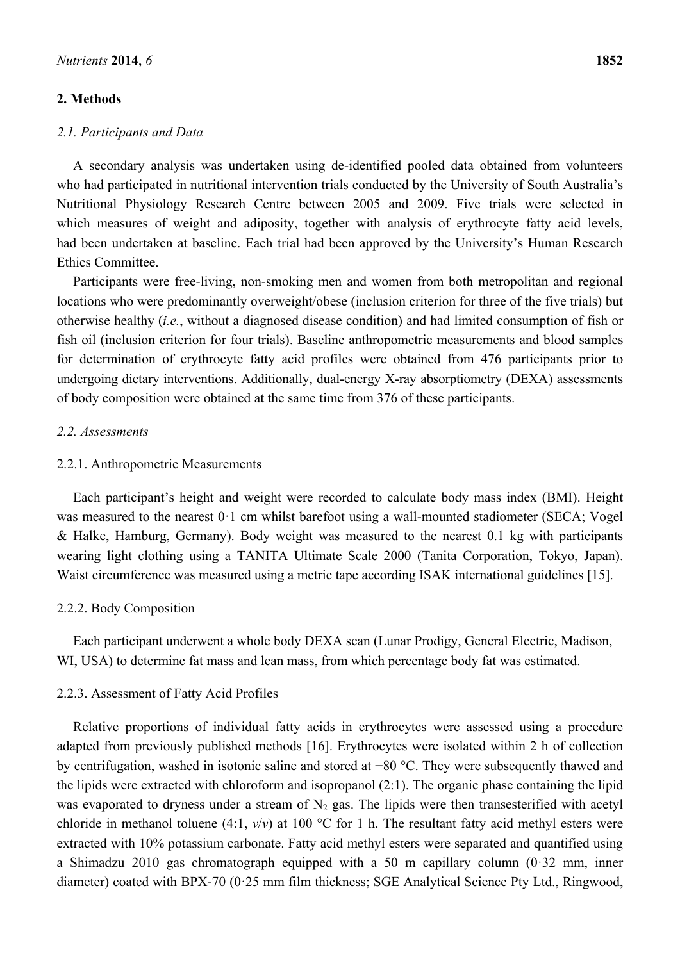#### **2. Methods**

#### *2.1. Participants and Data*

A secondary analysis was undertaken using de-identified pooled data obtained from volunteers who had participated in nutritional intervention trials conducted by the University of South Australia's Nutritional Physiology Research Centre between 2005 and 2009. Five trials were selected in which measures of weight and adiposity, together with analysis of erythrocyte fatty acid levels, had been undertaken at baseline. Each trial had been approved by the University's Human Research Ethics Committee.

Participants were free-living, non-smoking men and women from both metropolitan and regional locations who were predominantly overweight/obese (inclusion criterion for three of the five trials) but otherwise healthy (*i.e.*, without a diagnosed disease condition) and had limited consumption of fish or fish oil (inclusion criterion for four trials). Baseline anthropometric measurements and blood samples for determination of erythrocyte fatty acid profiles were obtained from 476 participants prior to undergoing dietary interventions. Additionally, dual-energy X-ray absorptiometry (DEXA) assessments of body composition were obtained at the same time from 376 of these participants.

#### *2.2. Assessments*

#### 2.2.1. Anthropometric Measurements

Each participant's height and weight were recorded to calculate body mass index (BMI). Height was measured to the nearest 0·1 cm whilst barefoot using a wall-mounted stadiometer (SECA; Vogel & Halke, Hamburg, Germany). Body weight was measured to the nearest 0.1 kg with participants wearing light clothing using a TANITA Ultimate Scale 2000 (Tanita Corporation, Tokyo, Japan). Waist circumference was measured using a metric tape according ISAK international guidelines [15].

#### 2.2.2. Body Composition

Each participant underwent a whole body DEXA scan (Lunar Prodigy, General Electric, Madison, WI, USA) to determine fat mass and lean mass, from which percentage body fat was estimated.

#### 2.2.3. Assessment of Fatty Acid Profiles

Relative proportions of individual fatty acids in erythrocytes were assessed using a procedure adapted from previously published methods [16]. Erythrocytes were isolated within 2 h of collection by centrifugation, washed in isotonic saline and stored at −80 °C. They were subsequently thawed and the lipids were extracted with chloroform and isopropanol (2:1). The organic phase containing the lipid was evaporated to dryness under a stream of  $N_2$  gas. The lipids were then transesterified with acetyl chloride in methanol toluene (4:1,  $v/v$ ) at 100 °C for 1 h. The resultant fatty acid methyl esters were extracted with 10% potassium carbonate. Fatty acid methyl esters were separated and quantified using a Shimadzu 2010 gas chromatograph equipped with a 50 m capillary column (0·32 mm, inner diameter) coated with BPX-70 (0·25 mm film thickness; SGE Analytical Science Pty Ltd., Ringwood,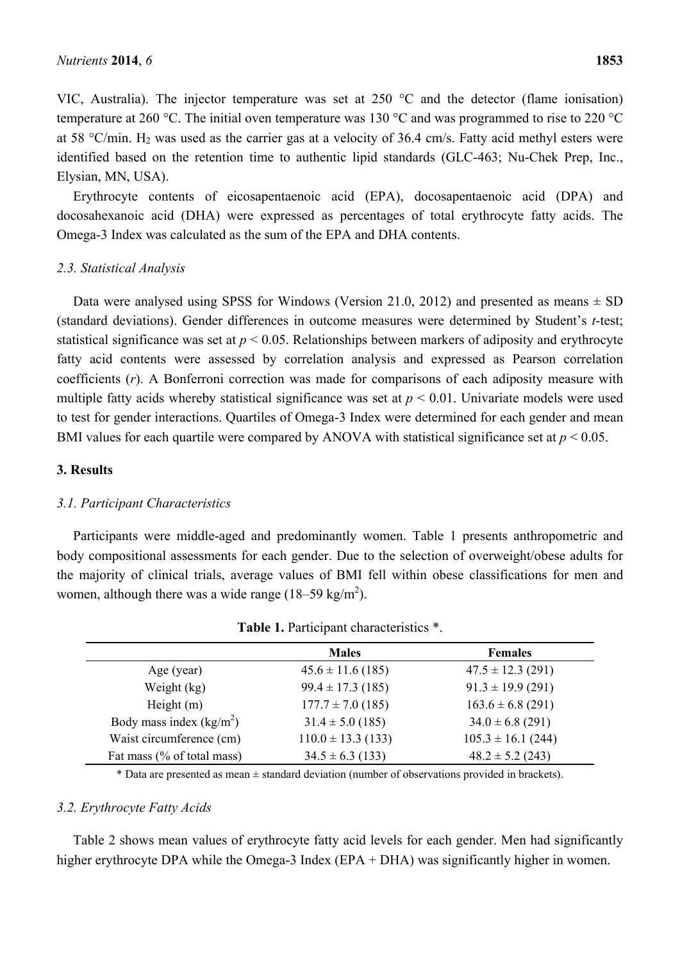VIC, Australia). The injector temperature was set at 250 °C and the detector (flame ionisation) temperature at 260 °C. The initial oven temperature was 130 °C and was programmed to rise to 220 °C at 58 °C/min.  $H_2$  was used as the carrier gas at a velocity of 36.4 cm/s. Fatty acid methyl esters were identified based on the retention time to authentic lipid standards (GLC-463; Nu-Chek Prep, Inc., Elysian, MN, USA).

Erythrocyte contents of eicosapentaenoic acid (EPA), docosapentaenoic acid (DPA) and docosahexanoic acid (DHA) were expressed as percentages of total erythrocyte fatty acids. The Omega-3 Index was calculated as the sum of the EPA and DHA contents.

#### *2.3. Statistical Analysis*

Data were analysed using SPSS for Windows (Version 21.0, 2012) and presented as means  $\pm$  SD (standard deviations). Gender differences in outcome measures were determined by Student's *t*-test; statistical significance was set at  $p < 0.05$ . Relationships between markers of adiposity and erythrocyte fatty acid contents were assessed by correlation analysis and expressed as Pearson correlation coefficients (*r*). A Bonferroni correction was made for comparisons of each adiposity measure with multiple fatty acids whereby statistical significance was set at  $p < 0.01$ . Univariate models were used to test for gender interactions. Quartiles of Omega-3 Index were determined for each gender and mean BMI values for each quartile were compared by ANOVA with statistical significance set at *p* < 0.05.

## **3. Results**

# *3.1. Participant Characteristics*

Participants were middle-aged and predominantly women. Table 1 presents anthropometric and body compositional assessments for each gender. Due to the selection of overweight/obese adults for the majority of clinical trials, average values of BMI fell within obese classifications for men and women, although there was a wide range  $(18-59 \text{ kg/m}^2)$ .

|                            | <b>Males</b>           | <b>Females</b>         |  |
|----------------------------|------------------------|------------------------|--|
| Age (year)                 | $45.6 \pm 11.6$ (185)  | $47.5 \pm 12.3$ (291)  |  |
| Weight (kg)                | $99.4 \pm 17.3$ (185)  | $91.3 \pm 19.9$ (291)  |  |
| Height $(m)$               | $177.7 \pm 7.0$ (185)  | $163.6 \pm 6.8$ (291)  |  |
| Body mass index $(kg/m2)$  | $31.4 \pm 5.0$ (185)   | $34.0 \pm 6.8$ (291)   |  |
| Waist circumference (cm)   | $110.0 \pm 13.3$ (133) | $105.3 \pm 16.1$ (244) |  |
| Fat mass (% of total mass) | $34.5 \pm 6.3$ (133)   | $48.2 \pm 5.2$ (243)   |  |

|  |  |  | Table 1. Participant characteristics *. |
|--|--|--|-----------------------------------------|
|--|--|--|-----------------------------------------|

\* Data are presented as mean ± standard deviation (number of observations provided in brackets).

#### *3.2. Erythrocyte Fatty Acids*

Table 2 shows mean values of erythrocyte fatty acid levels for each gender. Men had significantly higher erythrocyte DPA while the Omega-3 Index (EPA + DHA) was significantly higher in women.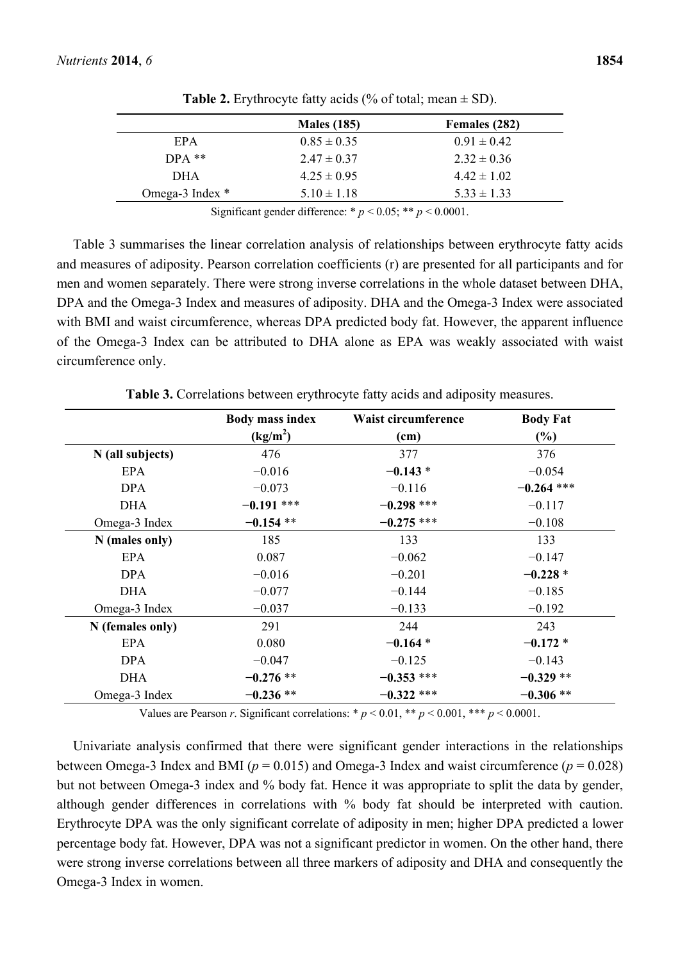|                 | <b>Males</b> (185) | Females (282)   |
|-----------------|--------------------|-----------------|
| EPA             | $0.85 \pm 0.35$    | $0.91 \pm 0.42$ |
| $DPA$ **        | $2.47 \pm 0.37$    | $2.32 \pm 0.36$ |
| <b>DHA</b>      | $4.25 \pm 0.95$    | $4.42 \pm 1.02$ |
| Omega-3 Index * | $5.10 \pm 1.18$    | $5.33 \pm 1.33$ |

**Table 2.** Erythrocyte fatty acids (% of total; mean  $\pm$  SD).

Significant gender difference:  $* p < 0.05$ ;  $** p < 0.0001$ .

Table 3 summarises the linear correlation analysis of relationships between erythrocyte fatty acids and measures of adiposity. Pearson correlation coefficients (r) are presented for all participants and for men and women separately. There were strong inverse correlations in the whole dataset between DHA, DPA and the Omega-3 Index and measures of adiposity. DHA and the Omega-3 Index were associated with BMI and waist circumference, whereas DPA predicted body fat. However, the apparent influence of the Omega-3 Index can be attributed to DHA alone as EPA was weakly associated with waist circumference only.

|                  | <b>Body mass index</b> | <b>Waist circumference</b> | <b>Body Fat</b> |
|------------------|------------------------|----------------------------|-----------------|
|                  | (kg/m <sup>2</sup> )   | (cm)                       | $(\%)$          |
| N (all subjects) | 476                    | 377                        | 376             |
| EPA              | $-0.016$               | $-0.143*$                  | $-0.054$        |
| <b>DPA</b>       | $-0.073$               | $-0.116$                   | $-0.264$ ***    |
| <b>DHA</b>       | $-0.191$ ***           | $-0.298$ ***               | $-0.117$        |
| Omega-3 Index    | $-0.154**$             | $-0.275$ ***               | $-0.108$        |
| $N$ (males only) | 185                    | 133                        | 133             |
| EPA              | 0.087                  | $-0.062$                   | $-0.147$        |
| <b>DPA</b>       | $-0.016$               | $-0.201$                   | $-0.228*$       |
| <b>DHA</b>       | $-0.077$               | $-0.144$                   | $-0.185$        |
| Omega-3 Index    | $-0.037$               | $-0.133$                   | $-0.192$        |
| N (females only) | 291                    | 244                        | 243             |
| EPA              | 0.080                  | $-0.164*$                  | $-0.172 *$      |
| <b>DPA</b>       | $-0.047$               | $-0.125$                   | $-0.143$        |
| <b>DHA</b>       | $-0.276**$             | $-0.353$ ***               | $-0.329**$      |
| Omega-3 Index    | $-0.236**$             | $-0.322$ ***               | $-0.306**$      |

**Table 3.** Correlations between erythrocyte fatty acids and adiposity measures.

Values are Pearson *r*. Significant correlations: \*  $p < 0.01$ , \*\*  $p < 0.001$ , \*\*\*  $p < 0.0001$ .

Univariate analysis confirmed that there were significant gender interactions in the relationships between Omega-3 Index and BMI ( $p = 0.015$ ) and Omega-3 Index and waist circumference ( $p = 0.028$ ) but not between Omega-3 index and % body fat. Hence it was appropriate to split the data by gender, although gender differences in correlations with % body fat should be interpreted with caution. Erythrocyte DPA was the only significant correlate of adiposity in men; higher DPA predicted a lower percentage body fat. However, DPA was not a significant predictor in women. On the other hand, there were strong inverse correlations between all three markers of adiposity and DHA and consequently the Omega-3 Index in women.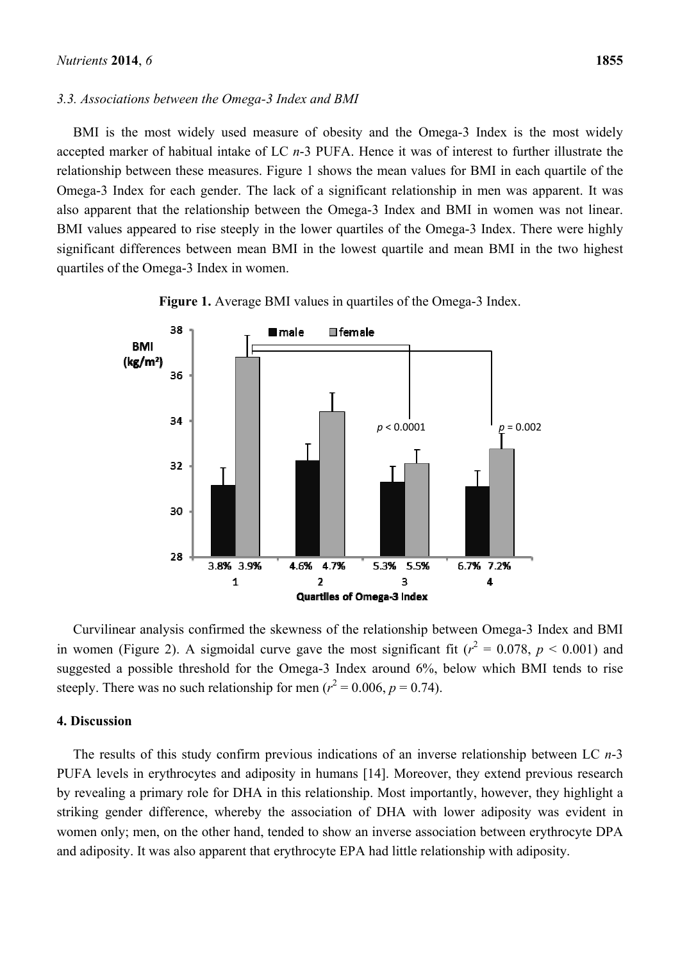#### *3.3. Associations between the Omega-3 Index and BMI*

BMI is the most widely used measure of obesity and the Omega-3 Index is the most widely accepted marker of habitual intake of LC *n*-3 PUFA. Hence it was of interest to further illustrate the relationship between these measures. Figure 1 shows the mean values for BMI in each quartile of the Omega-3 Index for each gender. The lack of a significant relationship in men was apparent. It was also apparent that the relationship between the Omega-3 Index and BMI in women was not linear. BMI values appeared to rise steeply in the lower quartiles of the Omega-3 Index. There were highly significant differences between mean BMI in the lowest quartile and mean BMI in the two highest quartiles of the Omega-3 Index in women.





Curvilinear analysis confirmed the skewness of the relationship between Omega-3 Index and BMI in women (Figure 2). A sigmoidal curve gave the most significant fit ( $r^2 = 0.078$ ,  $p < 0.001$ ) and suggested a possible threshold for the Omega-3 Index around 6%, below which BMI tends to rise steeply. There was no such relationship for men ( $r^2 = 0.006$ ,  $p = 0.74$ ).

## **4. Discussion**

The results of this study confirm previous indications of an inverse relationship between LC *n*-3 PUFA levels in erythrocytes and adiposity in humans [14]. Moreover, they extend previous research by revealing a primary role for DHA in this relationship. Most importantly, however, they highlight a striking gender difference, whereby the association of DHA with lower adiposity was evident in women only; men, on the other hand, tended to show an inverse association between erythrocyte DPA and adiposity. It was also apparent that erythrocyte EPA had little relationship with adiposity.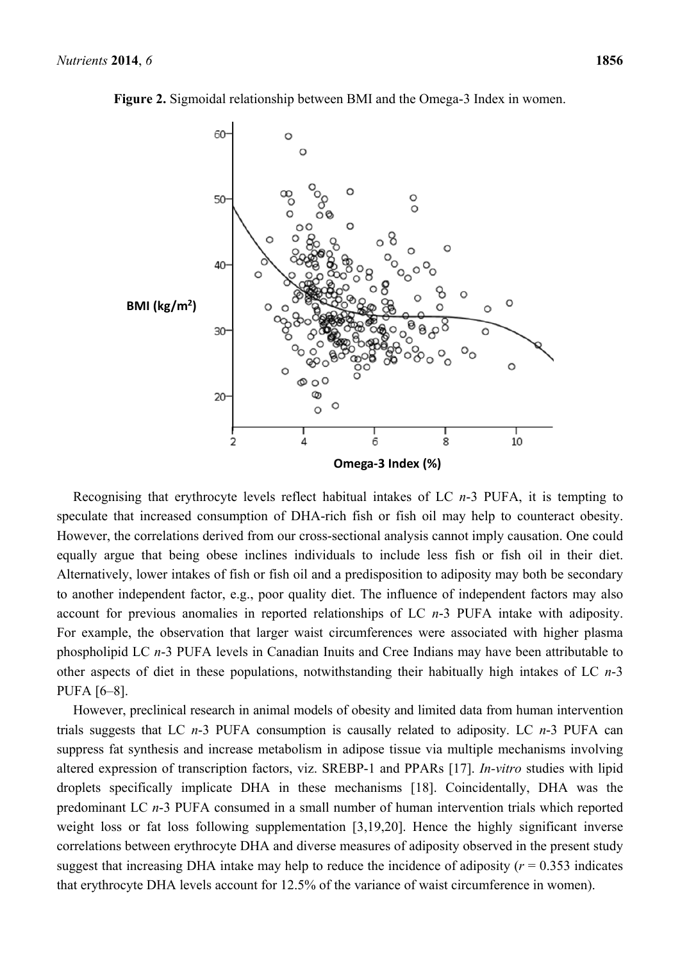

**Figure 2.** Sigmoidal relationship between BMI and the Omega-3 Index in women.

Recognising that erythrocyte levels reflect habitual intakes of LC *n*-3 PUFA, it is tempting to speculate that increased consumption of DHA-rich fish or fish oil may help to counteract obesity. However, the correlations derived from our cross-sectional analysis cannot imply causation. One could equally argue that being obese inclines individuals to include less fish or fish oil in their diet. Alternatively, lower intakes of fish or fish oil and a predisposition to adiposity may both be secondary to another independent factor, e.g., poor quality diet. The influence of independent factors may also account for previous anomalies in reported relationships of LC *n*-3 PUFA intake with adiposity. For example, the observation that larger waist circumferences were associated with higher plasma phospholipid LC *n*-3 PUFA levels in Canadian Inuits and Cree Indians may have been attributable to other aspects of diet in these populations, notwithstanding their habitually high intakes of LC *n*-3 PUFA [6–8].

However, preclinical research in animal models of obesity and limited data from human intervention trials suggests that LC *n*-3 PUFA consumption is causally related to adiposity. LC *n*-3 PUFA can suppress fat synthesis and increase metabolism in adipose tissue via multiple mechanisms involving altered expression of transcription factors, viz. SREBP-1 and PPARs [17]. *In-vitro* studies with lipid droplets specifically implicate DHA in these mechanisms [18]. Coincidentally, DHA was the predominant LC *n*-3 PUFA consumed in a small number of human intervention trials which reported weight loss or fat loss following supplementation [3,19,20]. Hence the highly significant inverse correlations between erythrocyte DHA and diverse measures of adiposity observed in the present study suggest that increasing DHA intake may help to reduce the incidence of adiposity ( $r = 0.353$  indicates that erythrocyte DHA levels account for 12.5% of the variance of waist circumference in women).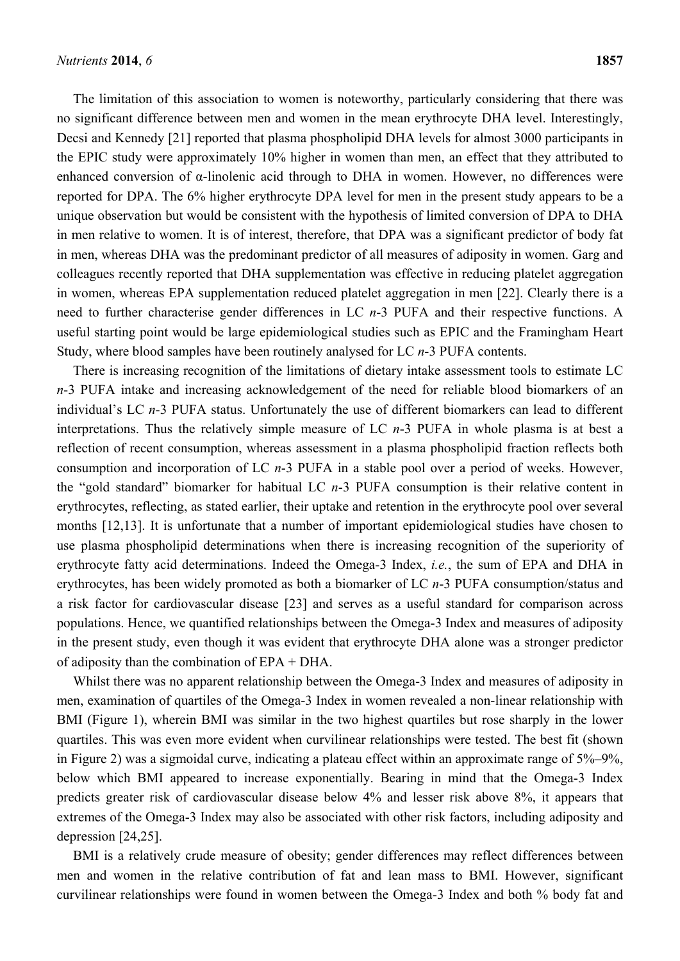The limitation of this association to women is noteworthy, particularly considering that there was no significant difference between men and women in the mean erythrocyte DHA level. Interestingly, Decsi and Kennedy [21] reported that plasma phospholipid DHA levels for almost 3000 participants in the EPIC study were approximately 10% higher in women than men, an effect that they attributed to enhanced conversion of α-linolenic acid through to DHA in women. However, no differences were reported for DPA. The 6% higher erythrocyte DPA level for men in the present study appears to be a unique observation but would be consistent with the hypothesis of limited conversion of DPA to DHA in men relative to women. It is of interest, therefore, that DPA was a significant predictor of body fat in men, whereas DHA was the predominant predictor of all measures of adiposity in women. Garg and colleagues recently reported that DHA supplementation was effective in reducing platelet aggregation in women, whereas EPA supplementation reduced platelet aggregation in men [22]. Clearly there is a need to further characterise gender differences in LC *n*-3 PUFA and their respective functions. A useful starting point would be large epidemiological studies such as EPIC and the Framingham Heart Study, where blood samples have been routinely analysed for LC *n*-3 PUFA contents.

There is increasing recognition of the limitations of dietary intake assessment tools to estimate LC *n*-3 PUFA intake and increasing acknowledgement of the need for reliable blood biomarkers of an individual's LC *n*-3 PUFA status. Unfortunately the use of different biomarkers can lead to different interpretations. Thus the relatively simple measure of LC *n*-3 PUFA in whole plasma is at best a reflection of recent consumption, whereas assessment in a plasma phospholipid fraction reflects both consumption and incorporation of LC *n*-3 PUFA in a stable pool over a period of weeks. However, the "gold standard" biomarker for habitual LC *n*-3 PUFA consumption is their relative content in erythrocytes, reflecting, as stated earlier, their uptake and retention in the erythrocyte pool over several months [12,13]. It is unfortunate that a number of important epidemiological studies have chosen to use plasma phospholipid determinations when there is increasing recognition of the superiority of erythrocyte fatty acid determinations. Indeed the Omega-3 Index, *i.e.*, the sum of EPA and DHA in erythrocytes, has been widely promoted as both a biomarker of LC *n*-3 PUFA consumption/status and a risk factor for cardiovascular disease [23] and serves as a useful standard for comparison across populations. Hence, we quantified relationships between the Omega-3 Index and measures of adiposity in the present study, even though it was evident that erythrocyte DHA alone was a stronger predictor of adiposity than the combination of EPA + DHA.

Whilst there was no apparent relationship between the Omega-3 Index and measures of adiposity in men, examination of quartiles of the Omega-3 Index in women revealed a non-linear relationship with BMI (Figure 1), wherein BMI was similar in the two highest quartiles but rose sharply in the lower quartiles. This was even more evident when curvilinear relationships were tested. The best fit (shown in Figure 2) was a sigmoidal curve, indicating a plateau effect within an approximate range of 5%–9%, below which BMI appeared to increase exponentially. Bearing in mind that the Omega-3 Index predicts greater risk of cardiovascular disease below 4% and lesser risk above 8%, it appears that extremes of the Omega-3 Index may also be associated with other risk factors, including adiposity and depression [24,25].

BMI is a relatively crude measure of obesity; gender differences may reflect differences between men and women in the relative contribution of fat and lean mass to BMI. However, significant curvilinear relationships were found in women between the Omega-3 Index and both % body fat and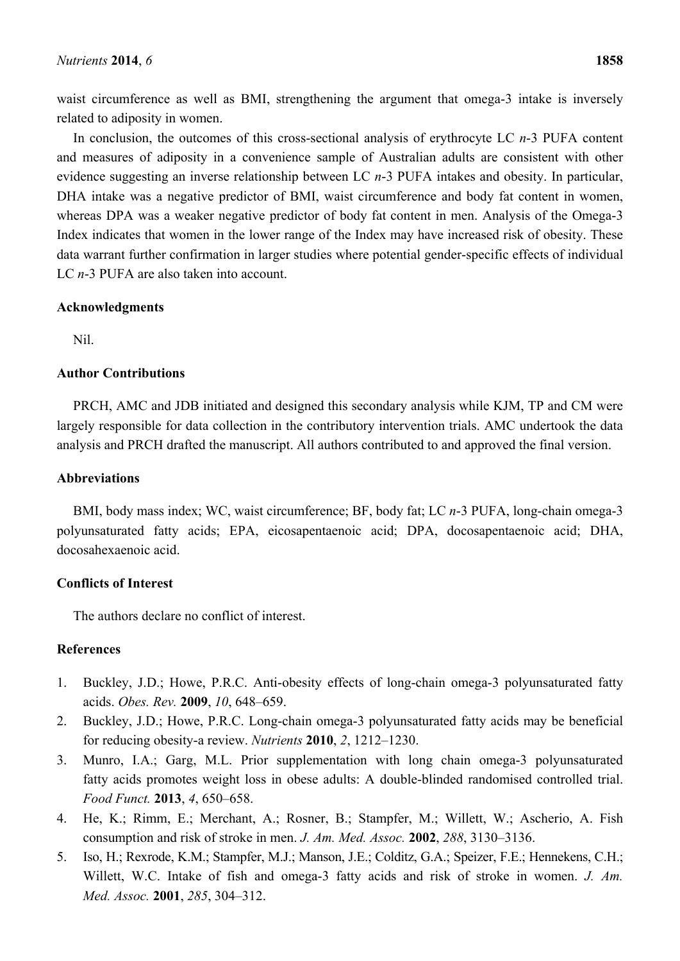waist circumference as well as BMI, strengthening the argument that omega-3 intake is inversely related to adiposity in women.

In conclusion, the outcomes of this cross-sectional analysis of erythrocyte LC *n*-3 PUFA content and measures of adiposity in a convenience sample of Australian adults are consistent with other evidence suggesting an inverse relationship between LC *n*-3 PUFA intakes and obesity. In particular, DHA intake was a negative predictor of BMI, waist circumference and body fat content in women, whereas DPA was a weaker negative predictor of body fat content in men. Analysis of the Omega-3 Index indicates that women in the lower range of the Index may have increased risk of obesity. These data warrant further confirmation in larger studies where potential gender-specific effects of individual LC *n*-3 PUFA are also taken into account.

#### **Acknowledgments**

Nil.

## **Author Contributions**

PRCH, AMC and JDB initiated and designed this secondary analysis while KJM, TP and CM were largely responsible for data collection in the contributory intervention trials. AMC undertook the data analysis and PRCH drafted the manuscript. All authors contributed to and approved the final version.

## **Abbreviations**

BMI, body mass index; WC, waist circumference; BF, body fat; LC *n*-3 PUFA, long-chain omega-3 polyunsaturated fatty acids; EPA, eicosapentaenoic acid; DPA, docosapentaenoic acid; DHA, docosahexaenoic acid.

# **Conflicts of Interest**

The authors declare no conflict of interest.

# **References**

- 1. Buckley, J.D.; Howe, P.R.C. Anti-obesity effects of long-chain omega-3 polyunsaturated fatty acids. *Obes. Rev.* **2009**, *10*, 648–659.
- 2. Buckley, J.D.; Howe, P.R.C. Long-chain omega-3 polyunsaturated fatty acids may be beneficial for reducing obesity-a review. *Nutrients* **2010**, *2*, 1212–1230.
- 3. Munro, I.A.; Garg, M.L. Prior supplementation with long chain omega-3 polyunsaturated fatty acids promotes weight loss in obese adults: A double-blinded randomised controlled trial. *Food Funct.* **2013**, *4*, 650–658.
- 4. He, K.; Rimm, E.; Merchant, A.; Rosner, B.; Stampfer, M.; Willett, W.; Ascherio, A. Fish consumption and risk of stroke in men. *J. Am. Med. Assoc.* **2002**, *288*, 3130–3136.
- 5. Iso, H.; Rexrode, K.M.; Stampfer, M.J.; Manson, J.E.; Colditz, G.A.; Speizer, F.E.; Hennekens, C.H.; Willett, W.C. Intake of fish and omega-3 fatty acids and risk of stroke in women. *J. Am. Med. Assoc.* **2001**, *285*, 304–312.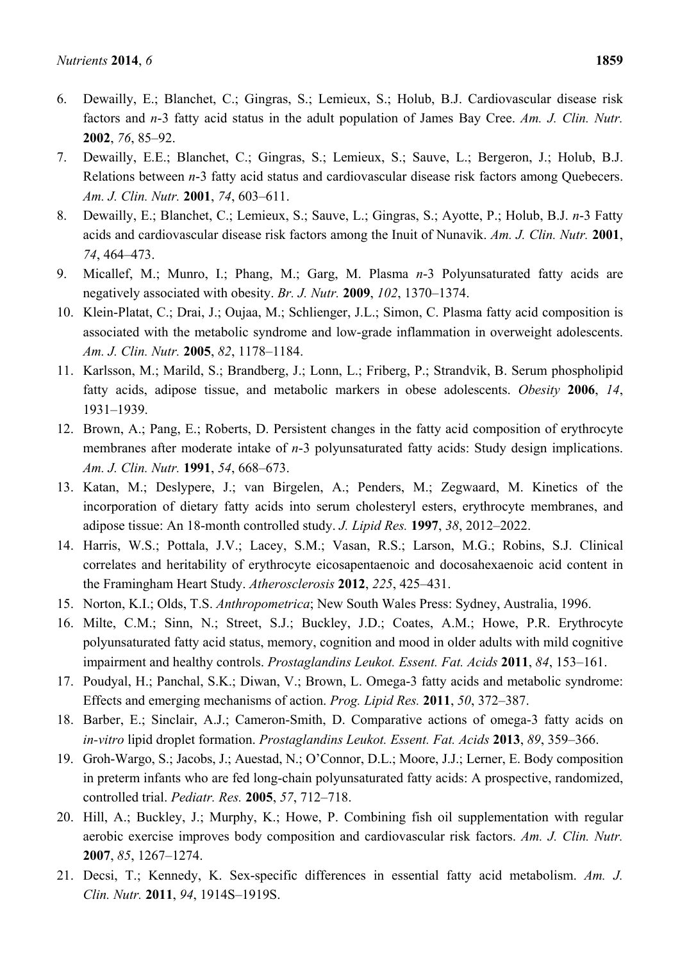- 6. Dewailly, E.; Blanchet, C.; Gingras, S.; Lemieux, S.; Holub, B.J. Cardiovascular disease risk factors and *n*-3 fatty acid status in the adult population of James Bay Cree. *Am. J. Clin. Nutr.* **2002**, *76*, 85–92.
- 7. Dewailly, E.E.; Blanchet, C.; Gingras, S.; Lemieux, S.; Sauve, L.; Bergeron, J.; Holub, B.J. Relations between *n*-3 fatty acid status and cardiovascular disease risk factors among Quebecers. *Am. J. Clin. Nutr.* **2001**, *74*, 603–611.
- 8. Dewailly, E.; Blanchet, C.; Lemieux, S.; Sauve, L.; Gingras, S.; Ayotte, P.; Holub, B.J. *n*-3 Fatty acids and cardiovascular disease risk factors among the Inuit of Nunavik. *Am. J. Clin. Nutr.* **2001**, *74*, 464–473.
- 9. Micallef, M.; Munro, I.; Phang, M.; Garg, M. Plasma *n*-3 Polyunsaturated fatty acids are negatively associated with obesity. *Br. J. Nutr.* **2009**, *102*, 1370–1374.
- 10. Klein-Platat, C.; Drai, J.; Oujaa, M.; Schlienger, J.L.; Simon, C. Plasma fatty acid composition is associated with the metabolic syndrome and low-grade inflammation in overweight adolescents. *Am. J. Clin. Nutr.* **2005**, *82*, 1178–1184.
- 11. Karlsson, M.; Marild, S.; Brandberg, J.; Lonn, L.; Friberg, P.; Strandvik, B. Serum phospholipid fatty acids, adipose tissue, and metabolic markers in obese adolescents. *Obesity* **2006**, *14*, 1931–1939.
- 12. Brown, A.; Pang, E.; Roberts, D. Persistent changes in the fatty acid composition of erythrocyte membranes after moderate intake of *n*-3 polyunsaturated fatty acids: Study design implications. *Am. J. Clin. Nutr.* **1991**, *54*, 668–673.
- 13. Katan, M.; Deslypere, J.; van Birgelen, A.; Penders, M.; Zegwaard, M. Kinetics of the incorporation of dietary fatty acids into serum cholesteryl esters, erythrocyte membranes, and adipose tissue: An 18-month controlled study. *J. Lipid Res.* **1997**, *38*, 2012–2022.
- 14. Harris, W.S.; Pottala, J.V.; Lacey, S.M.; Vasan, R.S.; Larson, M.G.; Robins, S.J. Clinical correlates and heritability of erythrocyte eicosapentaenoic and docosahexaenoic acid content in the Framingham Heart Study. *Atherosclerosis* **2012**, *225*, 425–431.
- 15. Norton, K.I.; Olds, T.S. *Anthropometrica*; New South Wales Press: Sydney, Australia, 1996.
- 16. Milte, C.M.; Sinn, N.; Street, S.J.; Buckley, J.D.; Coates, A.M.; Howe, P.R. Erythrocyte polyunsaturated fatty acid status, memory, cognition and mood in older adults with mild cognitive impairment and healthy controls. *Prostaglandins Leukot. Essent. Fat. Acids* **2011**, *84*, 153–161.
- 17. Poudyal, H.; Panchal, S.K.; Diwan, V.; Brown, L. Omega-3 fatty acids and metabolic syndrome: Effects and emerging mechanisms of action. *Prog. Lipid Res.* **2011**, *50*, 372–387.
- 18. Barber, E.; Sinclair, A.J.; Cameron-Smith, D. Comparative actions of omega-3 fatty acids on *in-vitro* lipid droplet formation. *Prostaglandins Leukot. Essent. Fat. Acids* **2013**, *89*, 359–366.
- 19. Groh-Wargo, S.; Jacobs, J.; Auestad, N.; O'Connor, D.L.; Moore, J.J.; Lerner, E. Body composition in preterm infants who are fed long-chain polyunsaturated fatty acids: A prospective, randomized, controlled trial. *Pediatr. Res.* **2005**, *57*, 712–718.
- 20. Hill, A.; Buckley, J.; Murphy, K.; Howe, P. Combining fish oil supplementation with regular aerobic exercise improves body composition and cardiovascular risk factors. *Am. J. Clin. Nutr.* **2007**, *85*, 1267–1274.
- 21. Decsi, T.; Kennedy, K. Sex-specific differences in essential fatty acid metabolism. *Am. J. Clin. Nutr.* **2011**, *94*, 1914S–1919S.